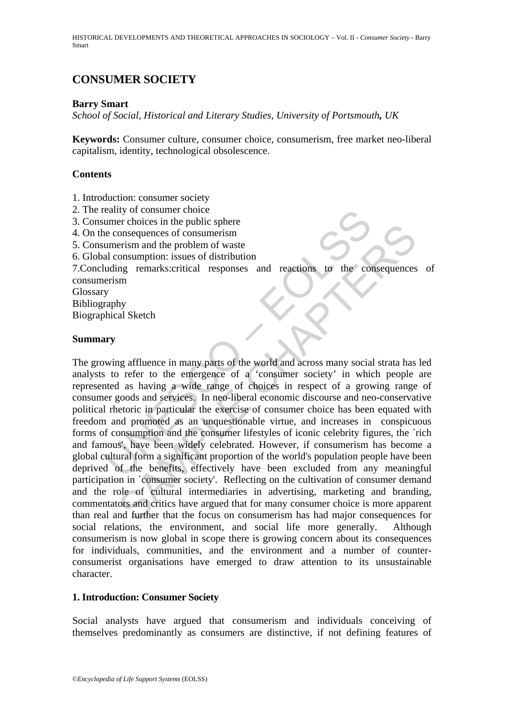HISTORICAL DEVELOPMENTS AND THEORETICAL APPROACHES IN SOCIOLOGY – Vol. II - *Consumer Society* **-** Barry Smart

# **CONSUMER SOCIETY**

### **Barry Smart**

*School of Social, Historical and Literary Studies, University of Portsmouth, UK*

**Keywords:** Consumer culture, consumer choice, consumerism, free market neo-liberal capitalism, identity, technological obsolescence.

## **Contents**

- 1. Introduction: consumer society
- 2. The reality of consumer choice
- 3. Consumer choices in the public sphere
- 4. On the consequences of consumerism
- 5. Consumerism and the problem of waste
- 6. Global consumption: issues of distribution

7.Concluding remarks:critical responses and reactions to the consequences of consumerism

Glossary

Bibliography

Biographical Sketch

### **Summary**

eality of consumer choice<br>the public sphere<br>the consequences in the public sphere<br>the consequences of consumerism<br>and the problem of waste<br>al consumption: issues of distribution<br>uding remarks:<br>critical responses and reacti Consumerion of the particular term and the consumerism<br>
onsequences of consumerism<br>
erism and the problem of waste<br>
onsumption: issues of distribution<br>
an<br>
onsequences of consumerism<br>
and the problem of waste<br>
on<br>
sm<br>
by<br> The growing affluence in many parts of the world and across many social strata has led analysts to refer to the emergence of a 'consumer society' in which people are represented as having a wide range of choices in respect of a growing range of consumer goods and services. In neo-liberal economic discourse and neo-conservative political rhetoric in particular the exercise of consumer choice has been equated with freedom and promoted as an unquestionable virtue, and increases in conspicuous forms of consumption and the consumer lifestyles of iconic celebrity figures, the `rich and famous', have been widely celebrated. However, if consumerism has become a global cultural form a significant proportion of the world's population people have been deprived of the benefits, effectively have been excluded from any meaningful participation in `consumer society'. Reflecting on the cultivation of consumer demand and the role of cultural intermediaries in advertising, marketing and branding, commentators and critics have argued that for many consumer choice is more apparent than real and further that the focus on consumerism has had major consequences for social relations, the environment, and social life more generally. Although consumerism is now global in scope there is growing concern about its consequences for individuals, communities, and the environment and a number of counterconsumerist organisations have emerged to draw attention to its unsustainable character.

### **1. Introduction: Consumer Society**

Social analysts have argued that consumerism and individuals conceiving of themselves predominantly as consumers are distinctive, if not defining features of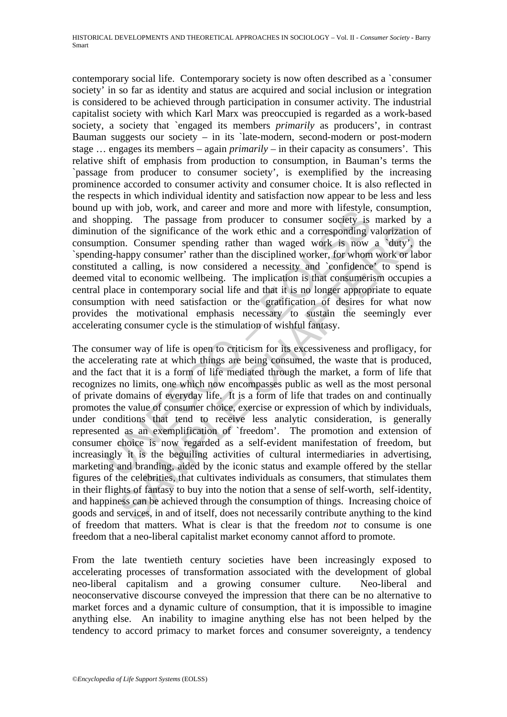contemporary social life. Contemporary society is now often described as a `consumer society' in so far as identity and status are acquired and social inclusion or integration is considered to be achieved through participation in consumer activity. The industrial capitalist society with which Karl Marx was preoccupied is regarded as a work-based society, a society that `engaged its members *primarily* as producers', in contrast Bauman suggests our society – in its `late-modern, second-modern or post-modern stage … engages its members – again *primarily* – in their capacity as consumers'. This relative shift of emphasis from production to consumption, in Bauman's terms the `passage from producer to consumer society', is exemplified by the increasing prominence accorded to consumer activity and consumer choice. It is also reflected in the respects in which individual identity and satisfaction now appear to be less and less bound up with job, work, and career and more and more with lifestyle, consumption, and shopping. The passage from producer to consumer society is marked by a diminution of the significance of the work ethic and a corresponding valorization of consumption. Consumer spending rather than waged work is now a `duty', the `spending-happy consumer' rather than the disciplined worker, for whom work or labor constituted a calling, is now considered a necessity and `confidence' to spend is deemed vital to economic wellbeing. The implication is that consumerism occupies a central place in contemporary social life and that it is no longer appropriate to equate consumption with need satisfaction or the gratification of desires for what now provides the motivational emphasis necessary to sustain the seemingly ever accelerating consumer cycle is the stimulation of wishful fantasy.

ply will jou, work, and cateer and inited and more and more will inesty<br>per poping. The passage from producer to consumer society is<br>ion of the significance of the work ethic and a corresponding y<br>ption. Consumer spending of the significance of the work ethic and a corresponding valorization<br>of the significance of the work ethic and a corresponding valorization<br>on. Consumer spending rather than waged work, to the samply consumer and the sig The consumer way of life is open to criticism for its excessiveness and profligacy, for the accelerating rate at which things are being consumed, the waste that is produced, and the fact that it is a form of life mediated through the market, a form of life that recognizes no limits, one which now encompasses public as well as the most personal of private domains of everyday life. It is a form of life that trades on and continually promotes the value of consumer choice, exercise or expression of which by individuals, under conditions that tend to receive less analytic consideration, is generally represented as an exemplification of `freedom'. The promotion and extension of consumer choice is now regarded as a self-evident manifestation of freedom, but increasingly it is the beguiling activities of cultural intermediaries in advertising, marketing and branding, aided by the iconic status and example offered by the stellar figures of the celebrities, that cultivates individuals as consumers, that stimulates them in their flights of fantasy to buy into the notion that a sense of self-worth, self-identity, and happiness can be achieved through the consumption of things. Increasing choice of goods and services, in and of itself, does not necessarily contribute anything to the kind of freedom that matters. What is clear is that the freedom *not* to consume is one freedom that a neo-liberal capitalist market economy cannot afford to promote.

From the late twentieth century societies have been increasingly exposed to accelerating processes of transformation associated with the development of global neo-liberal capitalism and a growing consumer culture. Neo-liberal and neoconservative discourse conveyed the impression that there can be no alternative to market forces and a dynamic culture of consumption, that it is impossible to imagine anything else. An inability to imagine anything else has not been helped by the tendency to accord primacy to market forces and consumer sovereignty, a tendency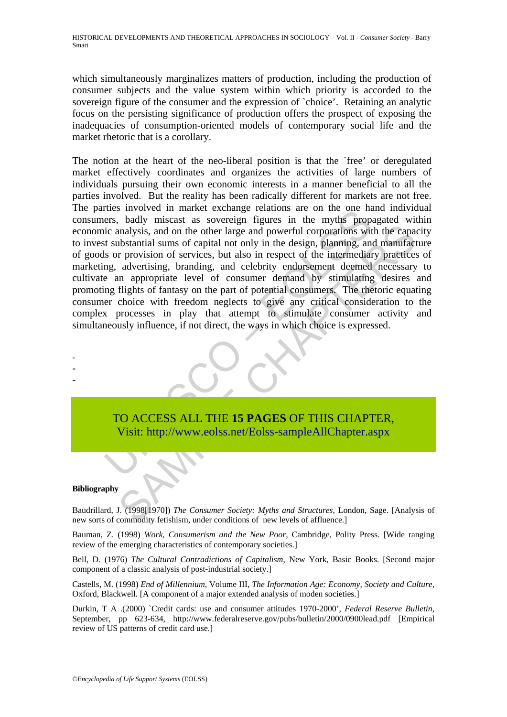which simultaneously marginalizes matters of production, including the production of consumer subjects and the value system within which priority is accorded to the sovereign figure of the consumer and the expression of `choice'. Retaining an analytic focus on the persisting significance of production offers the prospect of exposing the inadequacies of consumption-oriented models of contemporary social life and the market rhetoric that is a corollary.

The matter exturner tending tending tending the oriental and one can the orientate tending errors, bodly miscast as sovereign figures in the myths propice analysis, and on the other large and powerful corporations wit subs Analysis, and on the other large and powerful corporations with the capabrandaysis, and on the other large and powerful corporations with the capabrantial sums of capital not only in the design, planning, and manufact reve The notion at the heart of the neo-liberal position is that the `free' or deregulated market effectively coordinates and organizes the activities of large numbers of individuals pursuing their own economic interests in a manner beneficial to all the parties involved. But the reality has been radically different for markets are not free. The parties involved in market exchange relations are on the one hand individual consumers, badly miscast as sovereign figures in the myths propagated within economic analysis, and on the other large and powerful corporations with the capacity to invest substantial sums of capital not only in the design, planning, and manufacture of goods or provision of services, but also in respect of the intermediary practices of marketing, advertising, branding, and celebrity endorsement deemed necessary to cultivate an appropriate level of consumer demand by stimulating desires and promoting flights of fantasy on the part of potential consumers. The rhetoric equating consumer choice with freedom neglects to give any critical consideration to the complex processes in play that attempt to stimulate consumer activity and simultaneously influence, if not direct, the ways in which choice is expressed.



Visit: http://www.eolss.net/Eolss-sampleAllChapter.aspx

#### **Bibliography**

- - -

Baudrillard, J. (1998[1970]) *The Consumer Society: Myths and Structures*, London, Sage. [Analysis of new sorts of commodity fetishism, under conditions of new levels of affluence.]

Bauman, Z. (1998) *Work, Consumerism and the New Poor*, Cambridge, Polity Press. [Wide ranging review of the emerging characteristics of contemporary societies.]

Bell, D. (1976) *The Cultural Contradictions of Capitalism*, New York, Basic Books. [Second major component of a classic analysis of post-industrial society.]

Castells, M. (1998) *End of Millennium*, Volume III, *The Information Age: Economy, Society and Culture*, Oxford, Blackwell. [A component of a major extended analysis of moden societies.]

Durkin, T A .(2000) `Credit cards: use and consumer attitudes 1970-2000', *Federal Reserve Bulletin*, September, pp 623-634, http://www.federalreserve.gov/pubs/bulletin/2000/0900lead.pdf [Empirical review of US patterns of credit card use.]